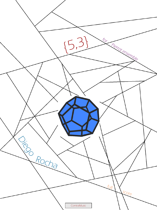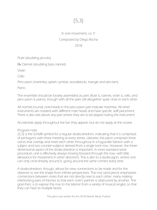## In one movement, ca. 5' Composed by Diego Rocha 2018

Flute (doubling piccolo)

Bb Clarinet (doubling bass clarinet)

Violin

Cello

Percussion (marimba, splash cymbal, woodblocks, triangle and tam-tam)

Piano

The ensemble should be loosely assembled as pairs (flute & clarinet, violin & cello, and percussion & piano), though with all the pairs still altogether quite close to each other.

All normal (round) note-heads in the percussion part indicate marimba. All other instruments are notated with different note heads and have specific staff placement. There is also text above any part where they are to be played noting the instrument.

Accidentals apply throughout the bar they appear, but do not apply at the octave.

## Program note:

{5,3} is the Schläfli symbol for a regular dodecahedron, indicating that it is comprised of pentagons with three meeting at every vertex. Likewise, this piece comprises three voices that overlap and meet each other throughout in a fugue-like fashion with a subject and two counter-subjects derived from a single tone row. However, the threedimensional aspect of the dodecahedron is important: in more standard serial procedure, one is effectively always moving forward through the row, with little allowance for movement in other directions. This is akin to a dodecagon, where one can only circle linearly around it, going around the same corners every time.

A dodecahedron, though, allows for new connections to be made and for the observer to see the shape from infinite perspectives. This row (and piece) emphasizes connections between notes that are not directly next to each other, many making interlocking pairs of tritones so that each note's partner is obstructed by another. The goal then, is to expose this row to the listener from a variety of musical angles, so that they can hear its multiple facets.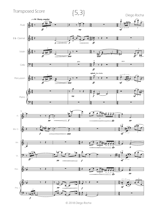

© 2018 Diego Rocha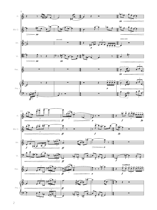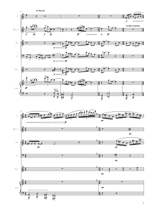

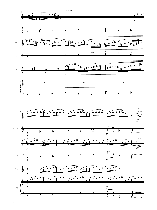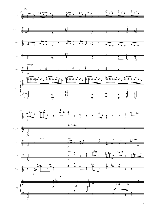

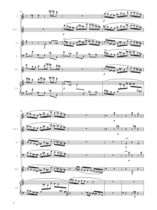

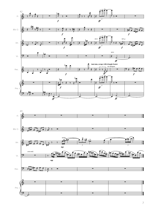

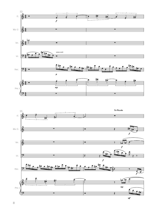

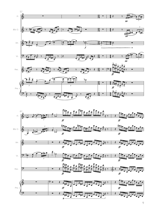

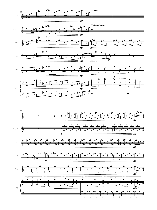

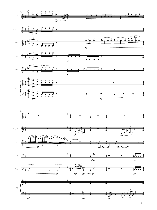

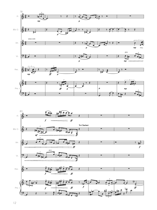

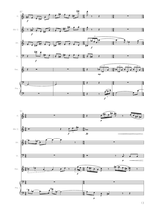

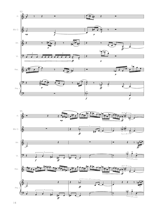

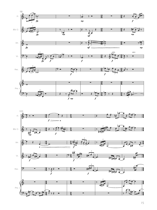

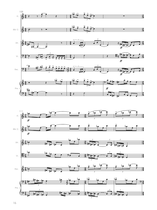